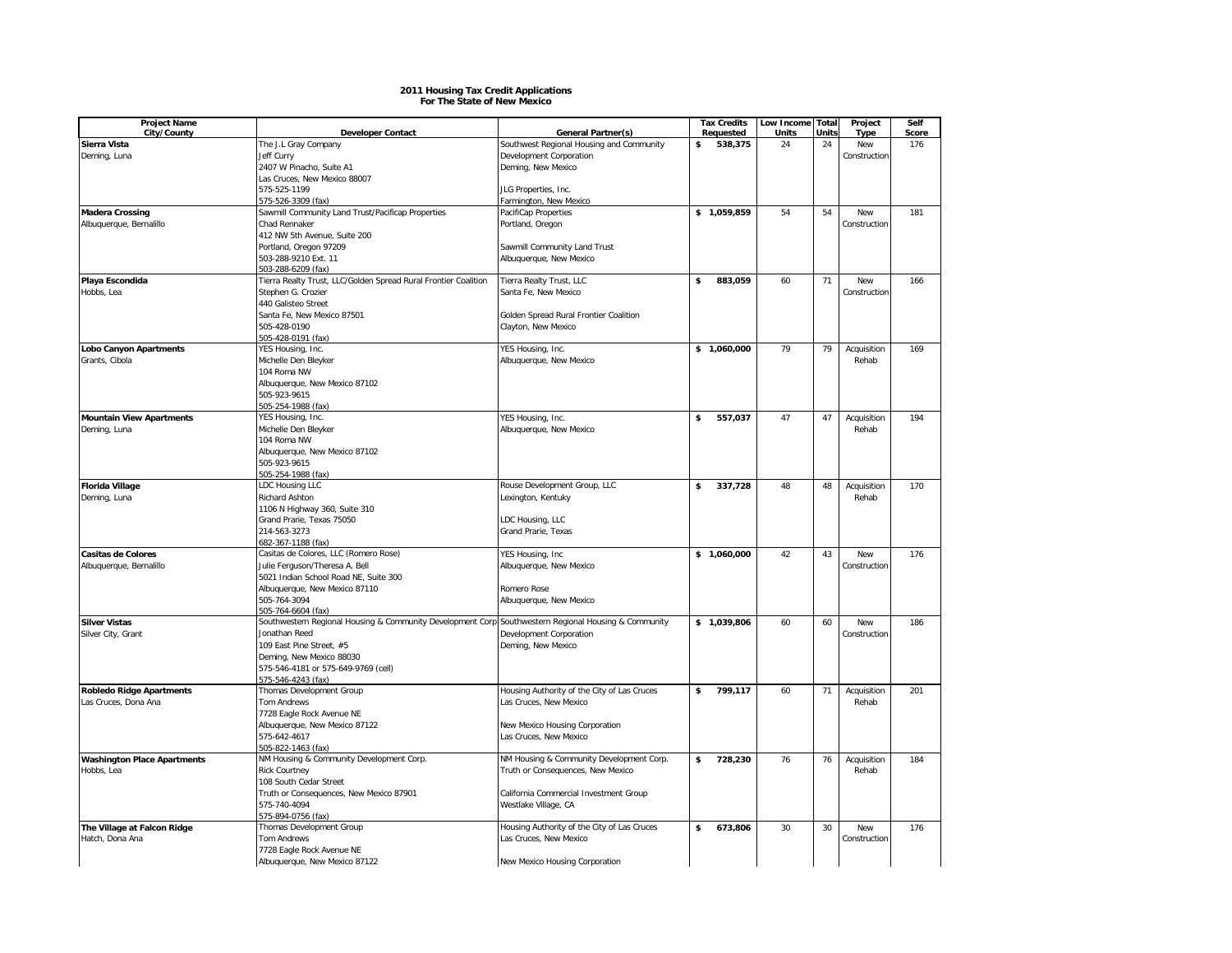## **2011 Housing Tax Credit Applications For The State of New Mexico**

| <b>Project Name</b><br>City/County | <b>Developer Contact</b>                                                                             | General Partner(s)                               | <b>Tax Credits</b><br>Requested | Low Income Total<br>Units | Units | Project<br><b>Type</b> | Self<br>Score |
|------------------------------------|------------------------------------------------------------------------------------------------------|--------------------------------------------------|---------------------------------|---------------------------|-------|------------------------|---------------|
| Sierra Vista                       | The J.L Gray Company                                                                                 | Southwest Regional Housing and Community         | \$<br>538,375                   | 24                        | 24    | New                    | 176           |
|                                    | <b>Jeff Curry</b>                                                                                    | Development Corporation                          |                                 |                           |       | Construction           |               |
| Deming, Luna                       |                                                                                                      |                                                  |                                 |                           |       |                        |               |
|                                    | 2407 W Pinacho, Suite A1<br>Las Cruces, New Mexico 88007                                             | Deming, New Mexico                               |                                 |                           |       |                        |               |
|                                    | 575-525-1199                                                                                         |                                                  |                                 |                           |       |                        |               |
|                                    | 575-526-3309 (fax)                                                                                   | JLG Properties, Inc.<br>Farmington, New Mexico   |                                 |                           |       |                        |               |
| <b>Madera Crossing</b>             | Sawmill Community Land Trust/Pacificap Properties                                                    | PacifiCap Properties                             | \$1,059,859                     | 54                        | 54    | New                    | 181           |
| Albuquerque, Bernalillo            | Chad Rennaker                                                                                        | Portland, Oregon                                 |                                 |                           |       | Construction           |               |
|                                    |                                                                                                      |                                                  |                                 |                           |       |                        |               |
|                                    | 412 NW 5th Avenue, Suite 200<br>Portland, Oregon 97209                                               | Sawmill Community Land Trust                     |                                 |                           |       |                        |               |
|                                    | 503-288-9210 Ext. 11                                                                                 |                                                  |                                 |                           |       |                        |               |
|                                    | 503-288-6209 (fax)                                                                                   | Albuquerque, New Mexico                          |                                 |                           |       |                        |               |
|                                    |                                                                                                      |                                                  | \$                              | 60                        | 71    | New                    | 166           |
| Playa Escondida<br>Hobbs, Lea      | Tierra Realty Trust, LLC/Golden Spread Rural Frontier Coalition<br>Stephen G. Crozier                | Tierra Realty Trust, LLC<br>Santa Fe, New Mexico | 883,059                         |                           |       | Construction           |               |
|                                    | 440 Galisteo Street                                                                                  |                                                  |                                 |                           |       |                        |               |
|                                    | Santa Fe, New Mexico 87501                                                                           | Golden Spread Rural Frontier Coalition           |                                 |                           |       |                        |               |
|                                    | 505-428-0190                                                                                         | Clayton, New Mexico                              |                                 |                           |       |                        |               |
|                                    | 505-428-0191 (fax)                                                                                   |                                                  |                                 |                           |       |                        |               |
| <b>Lobo Canyon Apartments</b>      | YES Housing, Inc.                                                                                    | YES Housing, Inc.                                | \$1,060,000                     | 79                        | 79    | Acquisition            | 169           |
|                                    |                                                                                                      |                                                  |                                 |                           |       | Rehab                  |               |
| Grants, Cibola                     | Michelle Den Bleyker<br>104 Roma NW                                                                  | Albuquerque, New Mexico                          |                                 |                           |       |                        |               |
|                                    |                                                                                                      |                                                  |                                 |                           |       |                        |               |
|                                    | Albuquerque, New Mexico 87102<br>505-923-9615                                                        |                                                  |                                 |                           |       |                        |               |
|                                    | 505-254-1988 (fax)                                                                                   |                                                  |                                 |                           |       |                        |               |
| <b>Mountain View Apartments</b>    | YES Housing, Inc.                                                                                    |                                                  | \$<br>557.037                   | 47                        | 47    |                        | 194           |
|                                    |                                                                                                      | YES Housing, Inc.                                |                                 |                           |       | Acquisition            |               |
| Deming, Luna                       | Michelle Den Bleyker<br>104 Roma NW                                                                  | Albuquerque, New Mexico                          |                                 |                           |       | Rehab                  |               |
|                                    | Albuquerque, New Mexico 87102                                                                        |                                                  |                                 |                           |       |                        |               |
|                                    | 505-923-9615                                                                                         |                                                  |                                 |                           |       |                        |               |
|                                    | 505-254-1988 (fax)                                                                                   |                                                  |                                 |                           |       |                        |               |
| <b>Florida Village</b>             | LDC Housing LLC                                                                                      | Rouse Development Group, LLC                     | \$<br>337,728                   | 48                        | 48    | Acquisition            | 170           |
|                                    | Richard Ashton                                                                                       |                                                  |                                 |                           |       | Rehab                  |               |
| Deming, Luna                       | 1106 N Highway 360, Suite 310                                                                        | Lexington, Kentuky                               |                                 |                           |       |                        |               |
|                                    | Grand Prarie, Texas 75050                                                                            | LDC Housing, LLC                                 |                                 |                           |       |                        |               |
|                                    | 214-563-3273                                                                                         | Grand Prarie, Texas                              |                                 |                           |       |                        |               |
|                                    | 682-367-1188 (fax)                                                                                   |                                                  |                                 |                           |       |                        |               |
| <b>Casitas de Colores</b>          | Casitas de Colores, LLC (Romero Rose)                                                                | YES Housing, Inc.                                | \$1,060,000                     | 42                        | 43    | <b>New</b>             | 176           |
| Albuquerque, Bernalillo            | Julie Ferguson/Theresa A. Bell                                                                       | Albuquerque, New Mexico                          |                                 |                           |       | Construction           |               |
|                                    | 5021 Indian School Road NE, Suite 300                                                                |                                                  |                                 |                           |       |                        |               |
|                                    | Albuquerque, New Mexico 87110                                                                        | Romero Rose                                      |                                 |                           |       |                        |               |
|                                    | 505-764-3094                                                                                         | Albuquerque, New Mexico                          |                                 |                           |       |                        |               |
|                                    | 505-764-6604 (fax)                                                                                   |                                                  |                                 |                           |       |                        |               |
| <b>Silver Vistas</b>               | Southwestern Regional Housing & Community Development Corp Southwestern Regional Housing & Community |                                                  | \$1,039,806                     | 60                        | 60    | New                    | 186           |
| Silver City, Grant                 | Jonathan Reed                                                                                        | Development Corporation                          |                                 |                           |       | Construction           |               |
|                                    | 109 East Pine Street, #5                                                                             | Deming, New Mexico                               |                                 |                           |       |                        |               |
|                                    | Deming, New Mexico 88030                                                                             |                                                  |                                 |                           |       |                        |               |
|                                    | 575-546-4181 or 575-649-9769 (cell)                                                                  |                                                  |                                 |                           |       |                        |               |
|                                    | 575-546-4243 (fax)                                                                                   |                                                  |                                 |                           |       |                        |               |
| <b>Robledo Ridge Apartments</b>    | Thomas Development Group                                                                             | Housing Authority of the City of Las Cruces      | \$<br>799,117                   | 60                        | 71    | Acquisition            | 201           |
| Las Cruces, Dona Ana               | <b>Tom Andrews</b>                                                                                   | Las Cruces, New Mexico                           |                                 |                           |       | Rehab                  |               |
|                                    | 7728 Eagle Rock Avenue NE                                                                            |                                                  |                                 |                           |       |                        |               |
|                                    | Albuquerque, New Mexico 87122                                                                        | New Mexico Housing Corporation                   |                                 |                           |       |                        |               |
|                                    | 575-642-4617                                                                                         | Las Cruces, New Mexico                           |                                 |                           |       |                        |               |
|                                    | 505-822-1463 (fax)                                                                                   |                                                  |                                 |                           |       |                        |               |
| <b>Washington Place Apartments</b> | NM Housing & Community Development Corp.                                                             | NM Housing & Community Development Corp.         | \$<br>728,230                   | 76                        | 76    | Acquisition            | 184           |
| Hobbs, Lea                         | <b>Rick Courtney</b>                                                                                 | Truth or Consequences, New Mexico                |                                 |                           |       | Rehab                  |               |
|                                    | 108 South Cedar Street                                                                               |                                                  |                                 |                           |       |                        |               |
|                                    | Truth or Consequences, New Mexico 87901                                                              | California Commercial Investment Group           |                                 |                           |       |                        |               |
|                                    | 575-740-4094                                                                                         | Westlake Village, CA                             |                                 |                           |       |                        |               |
|                                    | 575-894-0756 (fax)                                                                                   |                                                  |                                 |                           |       |                        |               |
| The Village at Falcon Ridge        | Thomas Development Group                                                                             | Housing Authority of the City of Las Cruces      | \$<br>673.806                   | 30                        | 30    | <b>New</b>             | 176           |
| Hatch, Dona Ana                    | Tom Andrews                                                                                          | Las Cruces, New Mexico                           |                                 |                           |       | Construction           |               |
|                                    | 7728 Eagle Rock Avenue NE                                                                            |                                                  |                                 |                           |       |                        |               |
|                                    | Albuquerque, New Mexico 87122                                                                        | New Mexico Housing Corporation                   |                                 |                           |       |                        |               |